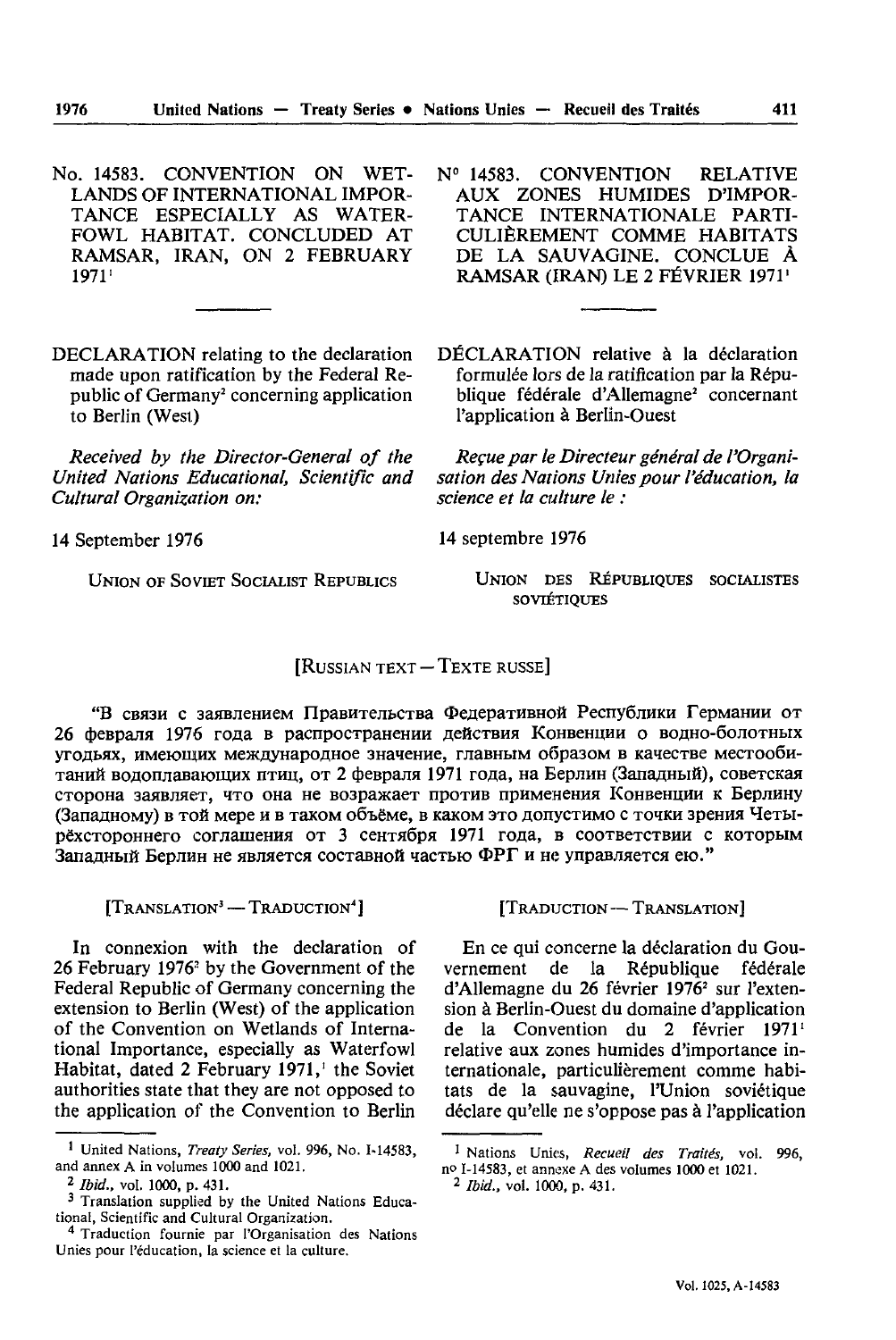- No. 14583. CONVENTION ON WET-**LANDS OF INTERNATIONAL IMPOR-**TANCE ESPECIALLY AS WATER-FOWL HABITAT. CONCLUDED AT RAMSAR, IRAN, ON 2 FEBRUARY  $1971<sup>1</sup>$
- DECLARATION relating to the declaration made upon ratification by the Federal Republic of Germany<sup>2</sup> concerning application to Berlin (West)

Received by the Director-General of the United Nations Educational, Scientific and Cultural Organization on:

14 September 1976

1976

**UNION OF SOVIET SOCIALIST REPUBLICS** 

- Nº 14583. CONVENTION **RELATIVE** AUX ZONES HUMIDES D'IMPOR-TANCE INTERNATIONALE PARTI-CULIÈREMENT COMME HABITATS DE LA SAUVAGINE. CONCLUE À RAMSAR (IRAN) LE 2 FÉVRIER 1971<sup>1</sup>
- DÉCLARATION relative à la déclaration formulée lors de la ratification par la République fédérale d'Allemagne<sup>2</sup> concernant l'application à Berlin-Ouest

Recue par le Directeur général de l'Organisation des Nations Unies pour l'éducation, la science et la culture le :

14 septembre 1976

UNION DES RÉPUBLIQUES SOCIALISTES SOVIÉTIQUES

[RUSSIAN TEXT - TEXTE RUSSE]

"В связи с заявлением Правительства Федеративной Республики Германии от 26 февраля 1976 года в распространении действия Конвенции о водно-болотных угольях, имеющих международное значение, главным образом в качестве местообитаний водоплавающих птиц, от 2 февраля 1971 года, на Берлин (Западный), советская сторона заявляет, что она не возражает против применения Конвенции к Берлину (Западному) в той мере и в таком объёме, в каком это допустимо с точки зрения Четырёхстороннего соглашения от 3 сентября 1971 года, в соответствии с которым Западный Берлин не является составной частью ФРГ и не управляется ею."

[TRANSLATION<sup>3</sup> - TRADUCTION<sup>4</sup>]

In connexion with the declaration of 26 February 1976<sup>2</sup> by the Government of the Federal Republic of Germany concerning the extension to Berlin (West) of the application of the Convention on Wetlands of International Importance, especially as Waterfowl Habitat, dated 2 February 1971,<sup>1</sup> the Soviet authorities state that they are not opposed to the application of the Convention to Berlin [TRADUCTION -- TRANSLATION]

En ce qui concerne la déclaration du Gouvernement de la République fédérale d'Allemagne du 26 février 1976<sup>2</sup> sur l'extension à Berlin-Ouest du domaine d'application de la Convention du 2 février 1971<sup>1</sup> relative aux zones humides d'importance internationale, particulièrement comme habitats de la sauvagine, l'Union soviétique déclare qu'elle ne s'oppose pas à l'application

<sup>&</sup>lt;sup>1</sup> United Nations, *Treaty Series*, vol. 996, No. I-14583, and annex A in volumes 1000 and 1021.

<sup>&</sup>lt;sup>2</sup> Ibid., vol. 1000, p. 431.

<sup>&</sup>lt;sup>3</sup> Translation supplied by the United Nations Educational, Scientific and Cultural Organization.

<sup>&</sup>lt;sup>4</sup> Traduction fournie par l'Organisation des Nations Unies pour l'éducation, la science et la culture.

<sup>&</sup>lt;sup>1</sup> Nations Unies, Recueil des Traités, vol. 996, nº I-14583, et annexe A des volumes 1000 et 1021.

<sup>&</sup>lt;sup>2</sup> *Ibid.*, vol. 1000, p. 431.